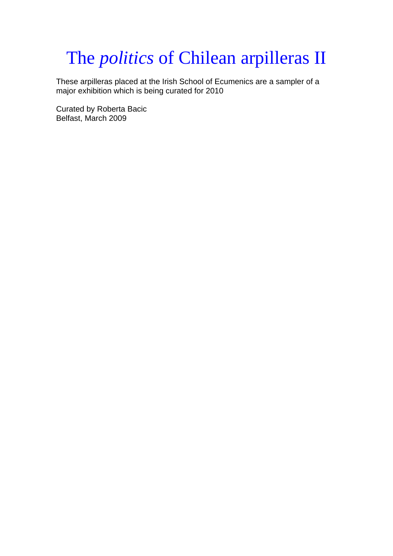# The *politics* of Chilean arpilleras II

These arpilleras placed at the Irish School of Ecumenics are a sampler of a major exhibition which is being curated for 2010

Curated by Roberta Bacic Belfast, March 2009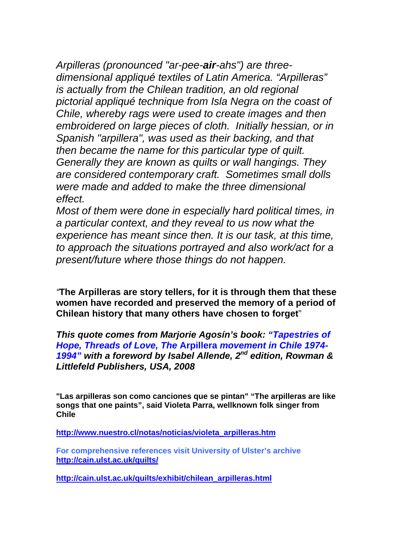*Arpilleras (pronounced "ar-pee-air-ahs") are threedimensional appliqué textiles of Latin America. "Arpilleras" is actually from the Chilean tradition, an old regional pictorial appliqué technique from Isla Negra on the coast of Chile, whereby rags were used to create images and then embroidered on large pieces of cloth. Initially hessian, or in Spanish "arpillera", was used as their backing, and that then became the name for this particular type of quilt. Generally they are known as quilts or wall hangings. They are considered contemporary craft. Sometimes small dolls were made and added to make the three dimensional effect.* 

*Most of them were done in especially hard political times, in a particular context, and they reveal to us now what the experience has meant since then. It is our task, at this time, to approach the situations portrayed and also work/act for a present/future where those things do not happen.* 

*"***The Arpilleras are story tellers, for it is through them that these women have recorded and preserved the memory of a period of Chilean history that many others have chosen to forget**"

*This quote comes from Marjorie Agosín's book: "Tapestries of Hope, Threads of Love, The* **Arpillera** *movement in Chile 1974- 1994" with a foreword by Isabel Allende, 2nd edition, Rowman & Littlefeld Publishers, USA, 2008*

**"Las arpilleras son como canciones que se pintan" "The arpilleras are like songs that one paints", said Violeta Parra, wellknown folk singer from Chile** 

**[http://www.nuestro.cl/notas/noticias/violeta\\_arpilleras.htm](http://www.nuestro.cl/notas/noticias/violeta_arpilleras.htm)**

**For comprehensive references visit University of Ulster's archive <http://cain.ulst.ac.uk/quilts/>**

**[http://cain.ulst.ac.uk/quilts/exhibit/chilean\\_arpilleras.html](http://cain.ulst.ac.uk/quilts/exhibit/chilean_arpilleras.html)**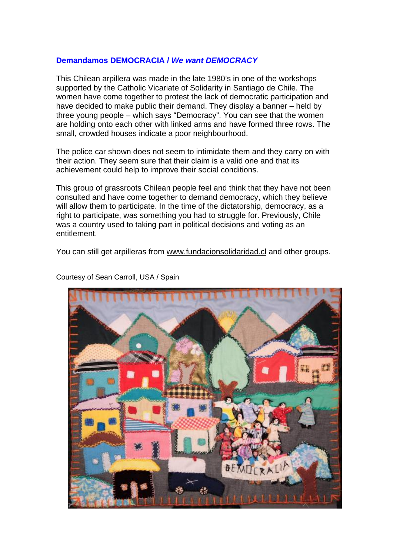#### **Demandamos DEMOCRACIA /** *We want DEMOCRACY*

This Chilean arpillera was made in the late 1980's in one of the workshops supported by the Catholic Vicariate of Solidarity in Santiago de Chile. The women have come together to protest the lack of democratic participation and have decided to make public their demand. They display a banner – held by three young people – which says "Democracy". You can see that the women are holding onto each other with linked arms and have formed three rows. The small, crowded houses indicate a poor neighbourhood.

The police car shown does not seem to intimidate them and they carry on with their action. They seem sure that their claim is a valid one and that its achievement could help to improve their social conditions.

This group of grassroots Chilean people feel and think that they have not been consulted and have come together to demand democracy, which they believe will allow them to participate. In the time of the dictatorship, democracy, as a right to participate, was something you had to struggle for. Previously, Chile was a country used to taking part in political decisions and voting as an entitlement.

You can still get arpilleras from [www.fundacionsolidaridad.cl](http://www.fundacionsolidaridad.cl/) and other groups.



Courtesy of Sean Carroll, USA / Spain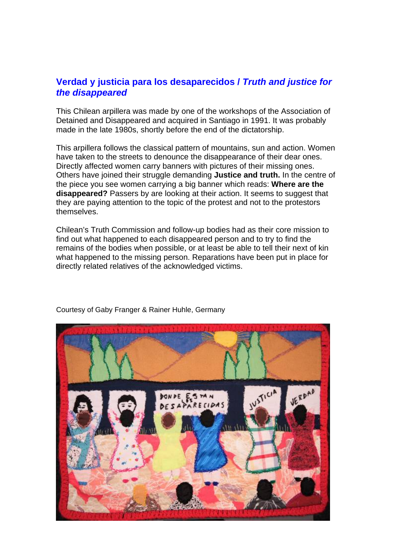## **Verdad y justicia para los desaparecidos /** *Truth and justice for the disappeared*

This Chilean arpillera was made by one of the workshops of the Association of Detained and Disappeared and acquired in Santiago in 1991. It was probably made in the late 1980s, shortly before the end of the dictatorship.

This arpillera follows the classical pattern of mountains, sun and action. Women have taken to the streets to denounce the disappearance of their dear ones. Directly affected women carry banners with pictures of their missing ones. Others have joined their struggle demanding **Justice and truth.** In the centre of the piece you see women carrying a big banner which reads: **Where are the disappeared?** Passers by are looking at their action. It seems to suggest that they are paying attention to the topic of the protest and not to the protestors themselves.

Chilean's Truth Commission and follow-up bodies had as their core mission to find out what happened to each disappeared person and to try to find the remains of the bodies when possible, or at least be able to tell their next of kin what happened to the missing person. Reparations have been put in place for directly related relatives of the acknowledged victims.



Courtesy of Gaby Franger & Rainer Huhle, Germany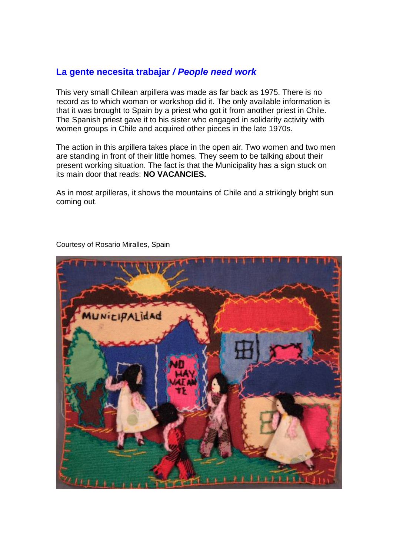## **La gente necesita trabajar** */ People need work*

This very small Chilean arpillera was made as far back as 1975. There is no record as to which woman or workshop did it. The only available information is that it was brought to Spain by a priest who got it from another priest in Chile. The Spanish priest gave it to his sister who engaged in solidarity activity with women groups in Chile and acquired other pieces in the late 1970s.

The action in this arpillera takes place in the open air. Two women and two men are standing in front of their little homes. They seem to be talking about their present working situation. The fact is that the Municipality has a sign stuck on its main door that reads: **NO VACANCIES.** 

As in most arpilleras, it shows the mountains of Chile and a strikingly bright sun coming out.



Courtesy of Rosario Miralles, Spain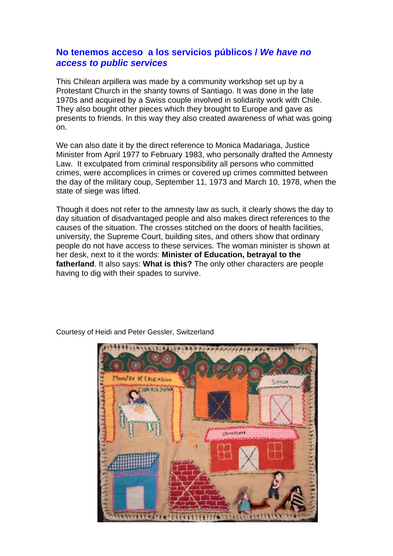## **No tenemos acceso a los servicios públicos /** *We have no access to public services*

This Chilean arpillera was made by a community workshop set up by a Protestant Church in the shanty towns of Santiago. It was done in the late 1970s and acquired by a Swiss couple involved in solidarity work with Chile. They also bought other pieces which they brought to Europe and gave as presents to friends. In this way they also created awareness of what was going on.

We can also date it by the direct reference to Monica Madariaga, Justice Minister from April 1977 to February 1983, who personally drafted the Amnesty Law. It exculpated from criminal responsibility all persons who committed crimes, were accomplices in crimes or covered up crimes committed between the day of the military coup, September 11, 1973 and March 10, 1978, when the state of siege was lifted.

Though it does not refer to the amnesty law as such, it clearly shows the day to day situation of disadvantaged people and also makes direct references to the causes of the situation. The crosses stitched on the doors of health facilities, university, the Supreme Court, building sites, and others show that ordinary people do not have access to these services. The woman minister is shown at her desk, next to it the words: **Minister of Education, betrayal to the fatherland**. It also says: **What is this?** The only other characters are people having to dig with their spades to survive.



Courtesy of Heidi and Peter Gessler, Switzerland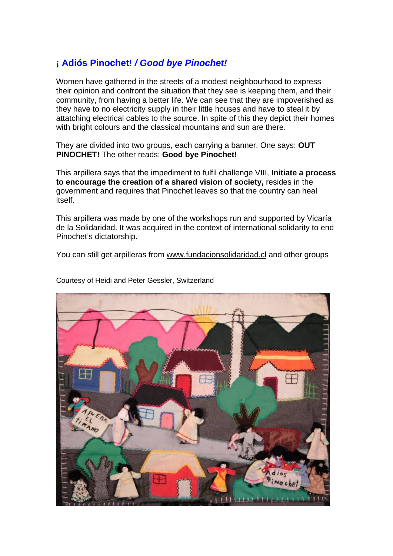# **¡ Adiós Pinochet!** */ Good bye Pinochet!*

Women have gathered in the streets of a modest neighbourhood to express their opinion and confront the situation that they see is keeping them, and their community, from having a better life. We can see that they are impoverished as they have to no electricity supply in their little houses and have to steal it by attatching electrical cables to the source. In spite of this they depict their homes with bright colours and the classical mountains and sun are there.

They are divided into two groups, each carrying a banner. One says: **OUT PINOCHET!** The other reads: **Good bye Pinochet!**

This arpillera says that the impediment to fulfil challenge VIII, **Initiate a process to encourage the creation of a shared vision of society,** resides in the government and requires that Pinochet leaves so that the country can heal itself.

This arpillera was made by one of the workshops run and supported by Vicaría de la Solidaridad. It was acquired in the context of international solidarity to end Pinochet's dictatorship.

You can still get arpilleras from [www.fundacionsolidaridad.cl](http://www.fundacionsolidaridad.cl/) and other groups



Courtesy of Heidi and Peter Gessler, Switzerland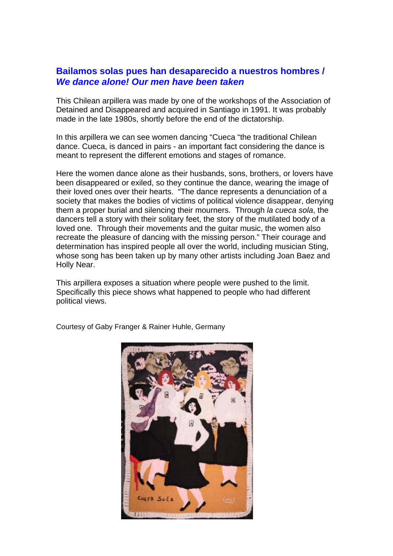## **Bailamos solas pues han desaparecido a nuestros hombres /**  *We dance alone! Our men have been taken*

This Chilean arpillera was made by one of the workshops of the Association of Detained and Disappeared and acquired in Santiago in 1991. It was probably made in the late 1980s, shortly before the end of the dictatorship.

In this arpillera we can see women dancing "Cueca "the traditional Chilean dance. Cueca, is danced in pairs - an important fact considering the dance is meant to represent the different emotions and stages of romance.

Here the women dance alone as their husbands, sons, brothers, or lovers have been disappeared or exiled, so they continue the dance, wearing the image of their loved ones over their hearts. "The dance represents a denunciation of a society that makes the bodies of victims of political violence disappear, denying them a proper burial and silencing their mourners. Through *la cueca sola*, the dancers tell a story with their solitary feet, the story of the mutilated body of a loved one. Through their movements and the guitar music, the women also recreate the pleasure of dancing with the missing person." Their courage and determination has inspired people all over the world, including musician Sting, whose song has been taken up by many other artists including Joan Baez and Holly Near.

This arpillera exposes a situation where people were pushed to the limit. Specifically this piece shows what happened to people who had different political views.



Courtesy of Gaby Franger & Rainer Huhle, Germany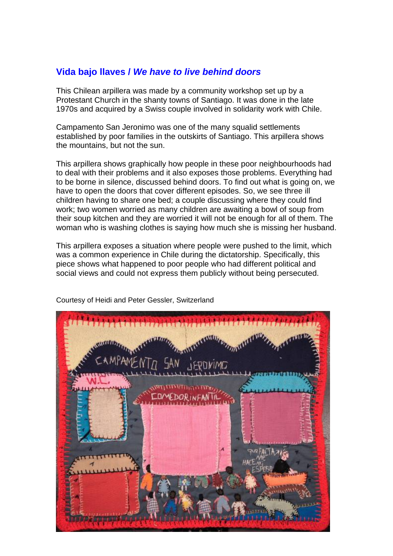## **Vida bajo llaves /** *We have to live behind doors*

This Chilean arpillera was made by a community workshop set up by a Protestant Church in the shanty towns of Santiago. It was done in the late 1970s and acquired by a Swiss couple involved in solidarity work with Chile.

Campamento San Jeronimo was one of the many squalid settlements established by poor families in the outskirts of Santiago. This arpillera shows the mountains, but not the sun.

This arpillera shows graphically how people in these poor neighbourhoods had to deal with their problems and it also exposes those problems. Everything had to be borne in silence, discussed behind doors. To find out what is going on, we have to open the doors that cover different episodes. So, we see three ill children having to share one bed; a couple discussing where they could find work; two women worried as many children are awaiting a bowl of soup from their soup kitchen and they are worried it will not be enough for all of them. The woman who is washing clothes is saying how much she is missing her husband.

This arpillera exposes a situation where people were pushed to the limit, which was a common experience in Chile during the dictatorship. Specifically, this piece shows what happened to poor people who had different political and social views and could not express them publicly without being persecuted.



Courtesy of Heidi and Peter Gessler, Switzerland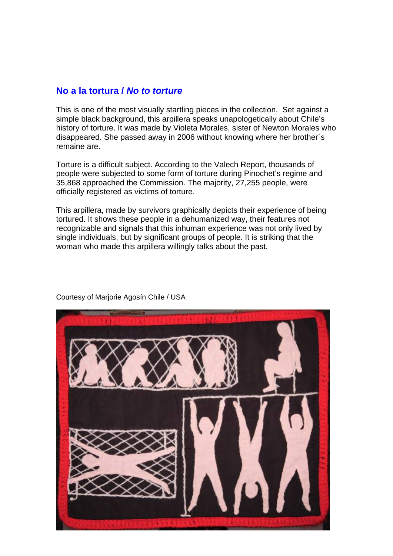### **No a la tortura /** *No to torture*

This is one of the most visually startling pieces in the collection. Set against a simple black background, this arpillera speaks unapologetically about Chile's history of torture. It was made by Violeta Morales, sister of Newton Morales who disappeared. She passed away in 2006 without knowing where her brother´s remaine are.

Torture is a difficult subject. According to the Valech Report, thousands of people were subjected to some form of torture during Pinochet's regime and 35,868 approached the Commission. The majority, 27,255 people, were officially registered as victims of torture.

This arpillera, made by survivors graphically depicts their experience of being tortured. It shows these people in a dehumanized way, their features not recognizable and signals that this inhuman experience was not only lived by single individuals, but by significant groups of people. It is striking that the woman who made this arpillera willingly talks about the past.



Courtesy of Marjorie Agosín Chile / USA